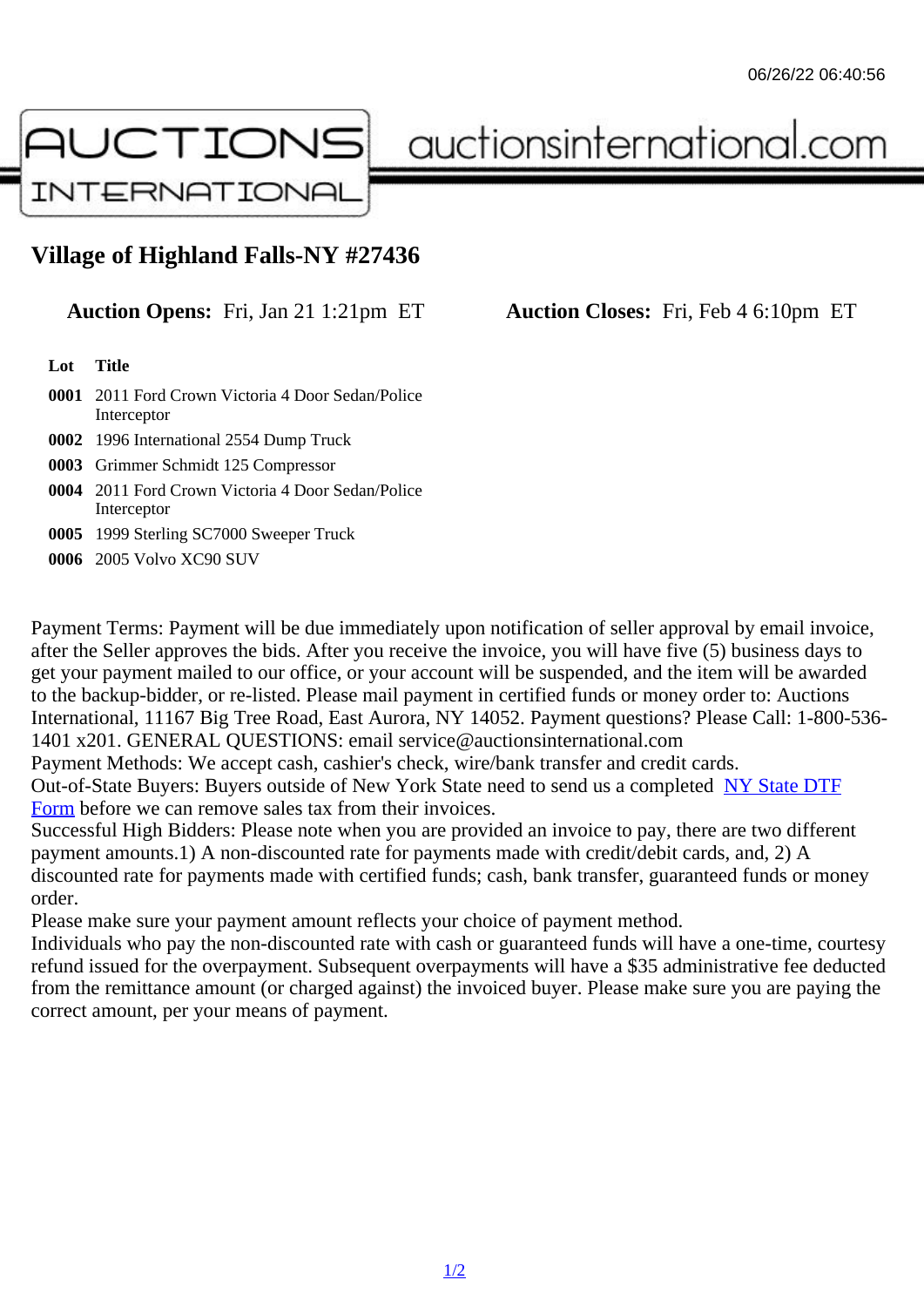## Village of Highland Falls-NY #27436

## Auction Opens: Fri, Jan 21 1:21pm ET Auction Closes: Fri, Feb 4 6:10pm ET

Lot Title

- 0001 2011 Ford Crown Victoria 4 Door Sedan/Police Interceptor
- 0002 1996 International 2554 Dump Truck
- 0003 Grimmer Schmidt 125 Compressor
- 0004 2011 Ford Crown Victoria 4 Door Sedan/Police Interceptor
- 0005 1999 Sterling SC7000 Sweeper Truck
- 0006 2005 Volvo XC90 SUV

Payment Terms: Payment will be due immediately upon notification of seller approval by email invoice, after the Seller approves the bids. After you receive the invoice, you will have five (5) business days to get your payment mailed to our office, or your account will be suspended, and the item will be awarded to the backup-bidder, or re-listed. Please mail payment in certified funds or money order to: Auctions International, 11167 Big Tree Road, East Aurora, NY 14052. Payment questions? Please Call: 1-800-53 1401 x201. GENERAL QUESTIONS: email service@auctionsinternational.com

Payment Methods: We accept cash, cashier's check, wire/bank transfer and credit cards.

Out-of-State Buyers: Buyers outside of New York State need to send us a com blestate DTF

Form before we can remove sales tax from their invoices.

Successful High Bidders: Please note when you are provided an invoice to pay, there are two different payment amounts.1) A non-discounted rate for payments made with credit/de[bit cards, and](https://www.auctionsinternational.com/auxiliary/downloads/DTF_Form/dtf_fill_in.pdf), 2) A [disco](https://www.auctionsinternational.com/auxiliary/downloads/DTF_Form/dtf_fill_in.pdf)unted rate for payments made with certified funds; cash, bank transfer, guaranteed funds or mone order.

Please make sure your payment amount reflects your choice of payment method.

Individuals who pay the non-discounted rate with cash or guaranteed funds will have a one-time, courte refund issued for the overpayment. Subsequent overpayments will have a \$35 administrative fee deduc from the remittance amount (or charged against) the invoiced buyer. Please make sure you are paying correct amount, per your means of payment.